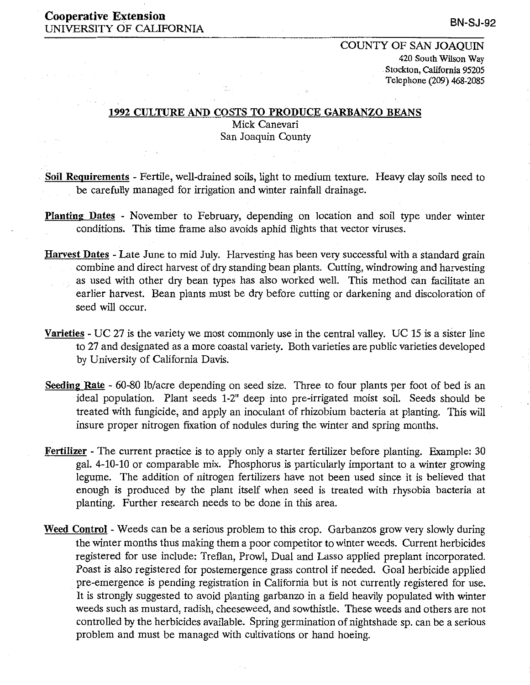### Cooperative Extension UNIVERSITY OF CALIFORNIA

# COUNTY OF SAN JOAQUIN 420 South Wilson Way Stockton, California 95205 Telephone (209) 468-2085

#### 1992 CULTURE AND COSTS TO PRODUCE GARBANZO BEANS

 $\frac{1}{2}$  ,  $\frac{1}{2}$ 

Mick Canevari San Joaquin County

- Soil Requirements Fertile, well-drained soils, light to medium texture. Heavy clay soils need to be carefully managed for irrigation and winter rainfall drainage.
- Planting Dates November to February, depending on location and soil type under winter conditions. This time frame also avoids aphid flights that vector viruses.
- Harvest Dates Late June to mid July. Harvesting has been very successful with a standard grain combine and direct harvest of dry standing bean plants. Cutting, windrowing and harvesting as used with other dry bean types has also worked well. This method can facilitate an earlier harvest. Bean plants must be dry before cutting or darkening and discoloration of seed will occur.
- Varieties UC 27 is the variety we most commonly use in the central valley. UC 15 is a sister line to 27 and designated as a more coastal variety. Both varieties are public varieties developed by University of California Davis.
- Seeding Rate 60-80 lb/acre depending on seed size. Three to four plants per foot of bed is an ideal population. Plant seeds 1-2" deep into pre-irrigated moist soil. Seeds should be treated with fungicide, and apply an inoculant of rhizobium bacteria at planting. This will insure proper nitrogen fixation of nodules during the winter and spring months.
- Fertilizer The current practice is to apply only a starter fertilizer before planting. Example: 30 gal. 4-10-10 or comparable mix. Phosphorus is particularly important to a winter growing legume. The addition of nitrogen fertilizers have not been used since it is believed that enough is produced by the plant itself when seed is treated with rhysobia bacteria at planting. Further research needs to be done in this area.
- Weed Control Weeds can be a serious problem to this crop. Garbanzos grow very slowly during the winter months thus making them a poor competitor to winter weeds. Current herbicides registered for use include: Treflan, Prowl, Dual and Lasso applied preplant incorporated. Poast is also registered for postemergence grass control if needed. Goal herbicide applied pre-emergence is pending registration in California but is not currently registered for use. It is strongly suggested to avoid planting garbanzo in a field heavily populated with winter weeds such as mustard, radish, cheeseweed, and sowthistle. These weeds and others are not controlled by the herbicides available. Spring germination of nightshade sp. can be a serious problem and must be managed with cultivations or hand hoeing.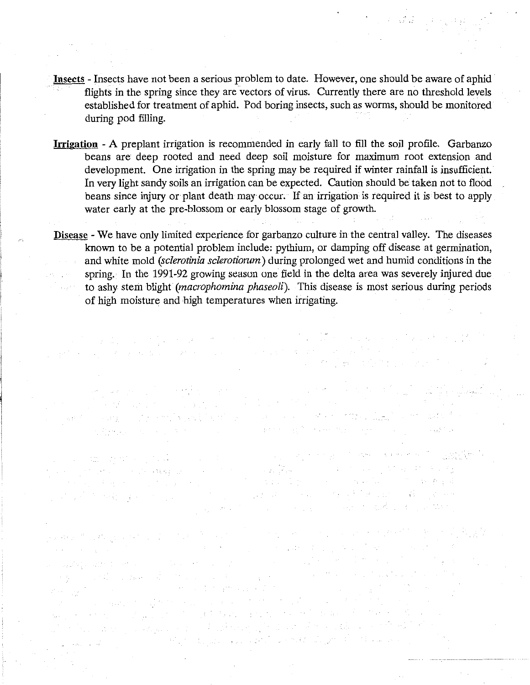- **Insects**  Insects have not been a serious problem to date. However, one should be aware of aphid flights in the spring since they are vectors of virus. Currently there are no threshold levels established for treatment of aphid. Pod boring insects, such as worms, should be monitored during pod filling.
- **Irrigation**  A preplant irrigation is recommended in early fall to fill the soil profile. Garbanzo beans are deep rooted and need deep soil moisture for maximum root extension and development. One irrigation in the spring may be required if winter rainfall is insufficient. In very light sandy soils an irrigation can be expected. Caution should be taken not to flood beans since injury or plant death may occur. If an irrigation is required it is best to apply water early at the pre-blossom or early blossom stage of growth.
- **Disease**  We have only limited experience for garbanzo culture in the central valley. The diseases known to be a potential problem include: pythium, or damping off disease at germination, and white mold *(sclerotinia sclerotiorum)* during prolonged wet and humid conditions in the spring. In the 1991-92 growing season one field in the delta area was severely injured due to ashy stem blight *(macrophomina phaseoli).* This disease is most serious during periods of high moisture and high temperatures when irrigating.

an di kacamatan San Barat di Kabupatén Kabupatén Jawa Kalénder (

(1) 不信息 (1) (1) (1) (2) (2) (1)

الوارد والمتعارف والإفراد والمتورد والمتوارث والمتوارث

and the control of the second state of the second state of the second state of the second state of the second state of the second state of the second state of the second state of the second state of the second state of the

 $\label{eq:2.1} \mathcal{L}_{\mathcal{A}}(\mathcal{A}_{\mathcal{A}}) = \mathcal{L}_{\mathcal{A}}(\mathcal{A}_{\mathcal{A}}) = \mathcal{L}_{\mathcal{A}}(\mathcal{A}_{\mathcal{A}}) = \mathcal{L}_{\mathcal{A}}(\mathcal{A}_{\mathcal{A}}) = \mathcal{L}_{\mathcal{A}}(\mathcal{A}_{\mathcal{A}}) = \mathcal{L}_{\mathcal{A}}(\mathcal{A}_{\mathcal{A}})$ 

en de la component de la component de la component de la component de la component de la component de la compo<br>La component de la component de la component de la component de la component de la component de la component d

2010年1月1日, 1994年4月1日, 1997年4月1日

 $\mathcal{F}^{\mathcal{G}}_{\mathcal{G}}$  , and the properties of the contribution of the properties of the contribution of the contribution of the contribution of the contribution of the contribution of the contribution of the contribution

 $\label{eq:2.1} \frac{1}{2} \left( \frac{1}{2} \left( \frac{1}{2} \right) \right) \left( \frac{1}{2} \left( \frac{1}{2} \right) \right) \left( \frac{1}{2} \left( \frac{1}{2} \right) \right) \left( \frac{1}{2} \left( \frac{1}{2} \right) \right) \left( \frac{1}{2} \left( \frac{1}{2} \right) \right) \left( \frac{1}{2} \left( \frac{1}{2} \right) \right) \left( \frac{1}{2} \left( \frac{1}{2} \right) \right) \left( \frac{1}{2} \left( \frac{1}{2} \right$ 

in the second plan is a way

فرائكو بالمراد

a potre de 1930, estas construídas de la construída de la construída de la construída de 1930 en 1930 en 1930<br>Construída de la construída de la construída de la construída de la construída de la construída de la construí

a a de la familia de la casa de la familia de la familia de la familia de la familia de la familia de la famil<br>La familia de la familia de la familia de la familia de la familia de la familia de la familia de la familia d

a di termina di mandata dan sebagai sebagai kecamatan dan menganjukkan kecamatan di kecamatan dan kecamatan di<br>Sebagai di dibebahkan berkenal di disebut dan di dibelahkan dan berkenal di disebut di disebut di disebut di d

e mais en 1970 en 1970 en 1970 en 1970 en 1980 en 1980 en 1980 en 1980 en 1980 en 1980 en 1980 en 1980 en 198<br>Liste de la companya de la companya de la companya de la companya de la companya de la companya de la companya<br>L

 $\label{eq:2.1} \mathcal{L}^{2}=\left\{ \begin{array}{ll} \mathcal{L}^{2} & \mathcal{L}^{2} & \mathcal{L}^{2} & \mathcal{L}^{2} \\ \mathcal{L}^{2} & \mathcal{L}^{2} & \mathcal{L}^{2} & \mathcal{L}^{2} & \mathcal{L}^{2} \\ \mathcal{L}^{2} & \mathcal{L}^{2} & \mathcal{L}^{2} & \mathcal{L}^{2} & \mathcal{L}^{2} \end{array} \right.$ 

de explainant population and

无物化的 医心室的 医白色的

 $\mathcal{L}=\mathfrak{m}$  , where  $\mathcal{L}=\{1,2,\ldots,n-1\}$  ,  $\mathcal{L}=\{1,2,\ldots,n-1\}$ 

计可变变 医海绵 医二氯苯基氯 医无足

a sawiki sama sensa salah bagian dan k

a di serie della conservazione della conservazione della conservazione della conservazione della conservazione<br>Serie della conservazione della conservazione della conservazione della conservazione della conservazione dell

a de 1942.<br>La provincia de la provincia de 1950, en la provincia de la provincia de 1950, en la provincia de la provincia

对方的 经海损的第三人称单数

 $\mathcal{O}(\mathbb{R}^2)$  , where  $\mathcal{O}(\mathbb{R}^2)$  and  $\mathcal{O}(\mathbb{R}^2)$  , where  $\mathcal{O}(\mathbb{R}^2)$ 

 $\sim 10^{-10}$ 

 $2.99 \times 10^{-7}$ 

County of the control special control of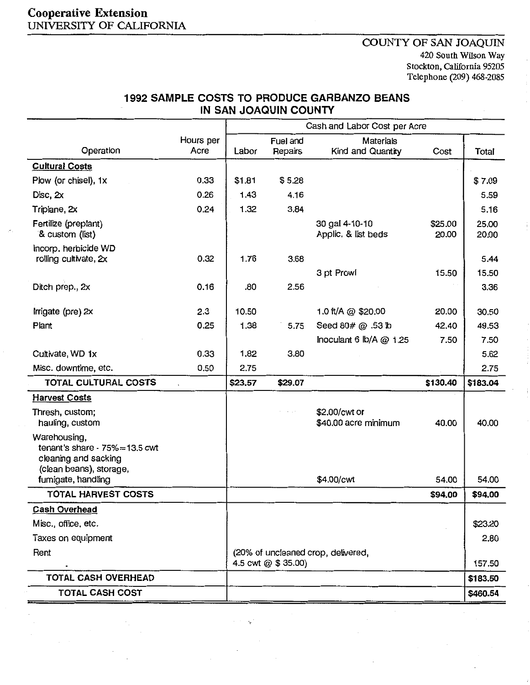# Cooperative Extension UNIVERSITY OF CALIFORNIA

## COUNTY OF SAN JOAQUIN 420 South Wilson Way Stockton, California 95205 Telephone (209) 468-2085

# 1992 SAMPLE COSTS TO PRODUCE GARBANZO BEANS IN SAN JOAQUIN COUNTY

|                                                                                                       |                   | Cash and Labor Cost per Acre                             |                     |                                                  |                  |                |
|-------------------------------------------------------------------------------------------------------|-------------------|----------------------------------------------------------|---------------------|--------------------------------------------------|------------------|----------------|
| Operation                                                                                             | Hours per<br>Acre | Labor                                                    | Fuel and<br>Repairs | <b>Materials</b><br>Kind and Quantity            | Cost             | Total          |
| <b>Cultural Costs</b>                                                                                 |                   |                                                          |                     |                                                  |                  |                |
| Plow (or chisel), 1x                                                                                  | 0.33              | \$1.81                                                   | \$5.28              |                                                  |                  | \$7.09         |
| Disc, $2x$                                                                                            | 0.26              | 1.43                                                     | 4.16                |                                                  |                  | 5.59           |
| Triplane, 2x                                                                                          | 0.24              | 1.32                                                     | 3.84                |                                                  |                  | 5.16           |
| Fertilize (preplant)<br>& custom (list)                                                               |                   |                                                          |                     | 30 gal 4-10-10<br>Applic, & list beds            | \$25.00<br>20.00 | 25.00<br>20.00 |
| Incorp. herbicide WD                                                                                  |                   |                                                          |                     |                                                  |                  |                |
| rolling cultivate, 2x                                                                                 | 0.32              | 1.76                                                     | 3.68                |                                                  |                  | 5.44           |
|                                                                                                       |                   |                                                          |                     | 3 pt Prowl                                       | 15.50            | 15.50          |
| Ditch prep., 2x                                                                                       | 0.16              | .80                                                      | 2.56                |                                                  |                  | 3.36           |
| Irrigate (pre) 2x                                                                                     | 2.3               | 10.50                                                    |                     | 1.0 ft/A @ \$20.00                               | 20.00            | 30.50          |
| Plant                                                                                                 | 0.25              | 1.38                                                     | 5.75                | Seed 80# @ .53 lb                                | 42.40            | 49.53          |
|                                                                                                       |                   |                                                          |                     | Inoculant 6 $\mathsf{lb}/\mathsf{A}\otimes 1.25$ | 7.50             | 7.50           |
| Cultivate, WD 1x                                                                                      | 0.33              | 1.82                                                     | 3.80                |                                                  |                  | 5.62           |
| Misc. downtime, etc.                                                                                  | 0.50              | 2.75                                                     |                     |                                                  |                  | 2.75           |
| TOTAL CULTURAL COSTS                                                                                  |                   | \$23.57                                                  | \$29.07             |                                                  | \$130.40         | \$183.04       |
| <b>Harvest Costs</b>                                                                                  |                   |                                                          |                     |                                                  |                  |                |
| Thresh, custom;<br>hauling, custom                                                                    |                   |                                                          | $\sim$ 10 $\pm$     | \$2.00/cwt or<br>\$40.00 acre minimum            | 40.00            | 40.00          |
| Warehousing,<br>tenant's share - $75\%$ = 13.5 cwt<br>cleaning and sacking<br>(clean beans), storage, |                   |                                                          |                     |                                                  |                  |                |
| fumigate, handling                                                                                    |                   |                                                          |                     | \$4.00/cwt                                       | 54.00            | 54.00          |
| <b>TOTAL HARVEST COSTS</b>                                                                            |                   |                                                          |                     |                                                  | \$94.00          | \$94.00        |
| <u>Cash Overhead</u>                                                                                  |                   |                                                          |                     |                                                  |                  |                |
| Misc., office, etc.                                                                                   |                   |                                                          |                     |                                                  |                  | \$23,20        |
| Taxes on equipment                                                                                    |                   |                                                          |                     |                                                  |                  | 2.80           |
| Rent                                                                                                  |                   | (20% of uncleaned crop, delivered,<br>4.5 cwt @ \$35.00) |                     |                                                  | 157.50           |                |
| TOTAL CASH OVERHEAD                                                                                   |                   |                                                          |                     |                                                  |                  | \$183.50       |
| <b>TOTAL CASH COST</b>                                                                                |                   |                                                          |                     |                                                  |                  | \$460.54       |